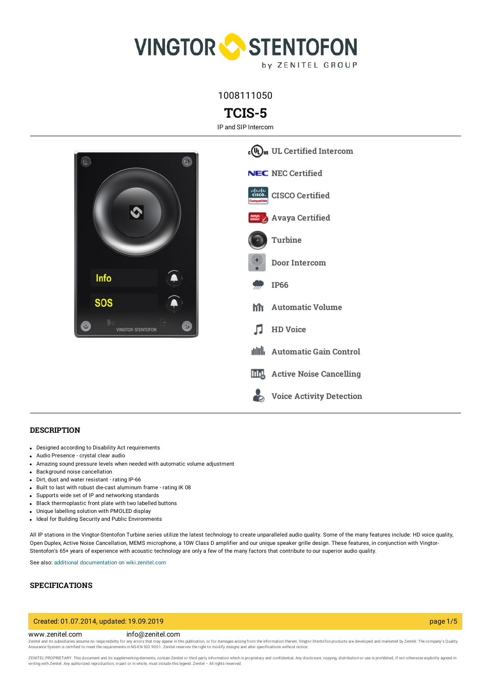

1008111050

# **TCIS-5**

IP and SIP Intercom



### **DESCRIPTION**

- Designed according to Disability Act requirements
- Audio Presence crystal clear audio
- Amazing sound pressure levels when needed with automatic volume adjustment
- Background noise cancellation
- Dirt, dust and water resistant rating IP-66
- Built to last with robust die-cast aluminum frame rating IK 08
- Supports wide set of IP and networking standards
- Black thermoplastic front plate with two labelled buttons
- Unique labelling solution with PMOLED display
- Ideal for Building Security and Public Environments

All IP stations in the Vingtor-Stentofon Turbine series utilize the latest technology to create unparalleled audio quality. Some of the many features include: HD voice quality, Open Duplex, Active Noise Cancellation, MEMS microphone, a 10W Class D amplifier and our unique speaker grille design. These features, in conjunction with Vingtor-Stentofon's 65+ years of experience with acoustic technology are only a few of the many factors that contribute to our superior audio quality.

**Voice Activity [Detection](https://www.zenitel.com/technology/audio/voice-activity-detection)**

See also: additional documentation on [wiki.zenitel.com](https://wiki.zenitel.com/wiki/TCIS-5)

# **SPECIFICATIONS**

### Created: 01.07.2014, updated: 19.09.2019 page 1/5

### www.zenitel.com info@zenitel.com

Zenitel and its subsidiaries assume no responsibility for any errors that may appear in this publication, or for damages arising from the information therein. Vingtor-Stentofon products are developed and marketed by Zenite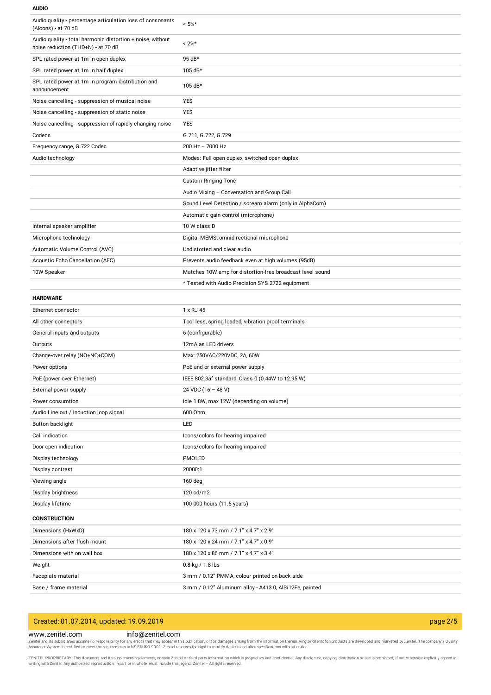#### **AUDIO**

| Audio quality - percentage articulation loss of consonants<br>(Alcons) - at 70 dB                | $< 5\%$ *                                                 |
|--------------------------------------------------------------------------------------------------|-----------------------------------------------------------|
| Audio quality - total harmonic distortion + noise, without<br>noise reduction (THD+N) - at 70 dB | $< 2\%$ *                                                 |
| SPL rated power at 1m in open duplex                                                             | 95 dB*                                                    |
| SPL rated power at 1m in half duplex                                                             | 105 dB*                                                   |
| SPL rated power at 1m in program distribution and<br>announcement                                | 105 dB*                                                   |
| Noise cancelling - suppression of musical noise                                                  | <b>YES</b>                                                |
| Noise cancelling - suppression of static noise                                                   | <b>YES</b>                                                |
| Noise cancelling - suppression of rapidly changing noise                                         | <b>YES</b>                                                |
| Codecs                                                                                           | G.711, G.722, G.729                                       |
| Frequency range, G.722 Codec                                                                     | $200$ Hz $- 7000$ Hz                                      |
| Audio technology                                                                                 | Modes: Full open duplex, switched open duplex             |
|                                                                                                  | Adaptive jitter filter                                    |
|                                                                                                  | <b>Custom Ringing Tone</b>                                |
|                                                                                                  | Audio Mixing - Conversation and Group Call                |
|                                                                                                  | Sound Level Detection / scream alarm (only in AlphaCom)   |
|                                                                                                  | Automatic gain control (microphone)                       |
| Internal speaker amplifier                                                                       | 10 W class D                                              |
| Microphone technology                                                                            | Digital MEMS, omnidirectional microphone                  |
| Automatic Volume Control (AVC)                                                                   | Undistorted and clear audio                               |
| Acoustic Echo Cancellation (AEC)                                                                 | Prevents audio feedback even at high volumes (95dB)       |
| 10W Speaker                                                                                      | Matches 10W amp for distortion-free broadcast level sound |
|                                                                                                  | * Tested with Audio Precision SYS 2722 equipment          |
| <b>HARDWARE</b>                                                                                  |                                                           |
| Ethernet connector                                                                               | 1 x RJ 45                                                 |
| All other connectors                                                                             | Tool less, spring loaded, vibration proof terminals       |
| General inputs and outputs                                                                       | 6 (configurable)                                          |
| Outputs                                                                                          | 12mA as LED drivers                                       |
| Change-over relay (NO+NC+COM)                                                                    | Max: 250VAC/220VDC, 2A, 60W                               |
| Power options                                                                                    | PoE and or external power supply                          |
| PoE (power over Ethernet)                                                                        | IEEE 802.3af standard, Class 0 (0.44W to 12.95 W)         |
| External power supply                                                                            | 24 VDC (16 - 48 V)                                        |
| Power consumtion                                                                                 | Idle 1.8W, max 12W (depending on volume)                  |
| Audio Line out / Induction loop signal                                                           | 600 Ohm                                                   |
| Button backlight                                                                                 | LED                                                       |
| Call indication                                                                                  | Icons/colors for hearing impaired                         |
| Door open indication                                                                             | Icons/colors for hearing impaired                         |
| Display technology                                                                               | PMOLED                                                    |
| Display contrast                                                                                 | 20000:1                                                   |
| Viewing angle                                                                                    | 160 deg                                                   |
| Display brightness                                                                               | 120 cd/m2                                                 |
| Display lifetime                                                                                 | 100 000 hours (11.5 years)                                |
| <b>CONSTRUCTION</b>                                                                              |                                                           |
| Dimensions (HxWxD)                                                                               | 180 x 120 x 73 mm / 7.1" x 4.7" x 2.9"                    |
| Dimensions after flush mount                                                                     | 180 x 120 x 24 mm / 7.1" x 4.7" x 0.9"                    |
| Dimensions with on wall box                                                                      | 180 x 120 x 86 mm / 7.1" x 4.7" x 3.4"                    |
| Weight                                                                                           | $0.8$ kg / 1.8 lbs                                        |
| Faceplate material                                                                               | 3 mm / 0.12" PMMA, colour printed on back side            |
| Base / frame material                                                                            | 3 mm / 0.12" Aluminum alloy - A413.0, AlSi12Fe, painted   |
|                                                                                                  |                                                           |

# Created: 01.07.2014, updated: 19.09.2019 page 2/5

### www.zenitel.com info@zenitel.com

Zenitel and its subsidiaries assume no responsibility for any errors that may appear in this publication, or for damages arising from the information therein. Vingtor-Stentofon products are developed and marketed by Zenite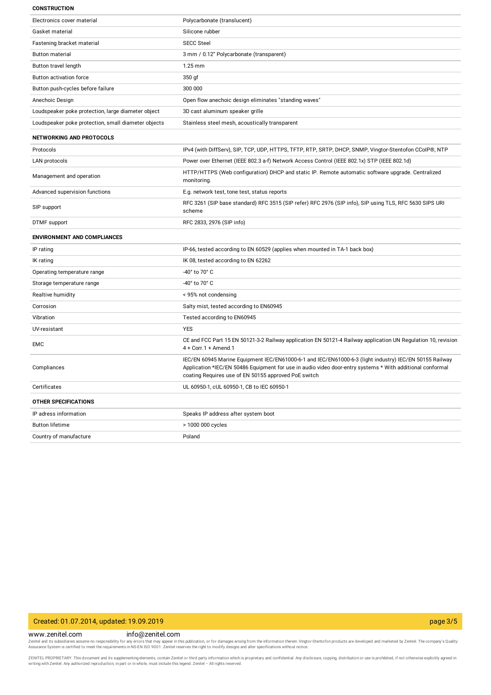#### **CONSTRUCTION**

| Electronics cover material                          | Polycarbonate (translucent)                                                                                                                                                                                                                                                  |
|-----------------------------------------------------|------------------------------------------------------------------------------------------------------------------------------------------------------------------------------------------------------------------------------------------------------------------------------|
| Gasket material                                     | Silicone rubber                                                                                                                                                                                                                                                              |
| Fastening bracket material                          | <b>SECC Steel</b>                                                                                                                                                                                                                                                            |
| <b>Button material</b>                              | 3 mm / 0.12" Polycarbonate (transparent)                                                                                                                                                                                                                                     |
| Button travel length                                | $1.25$ mm                                                                                                                                                                                                                                                                    |
| Button activation force                             | 350 gf                                                                                                                                                                                                                                                                       |
| Button push-cycles before failure                   | 300 000                                                                                                                                                                                                                                                                      |
| Anechoic Design                                     | Open flow anechoic design eliminates "standing waves"                                                                                                                                                                                                                        |
| Loudspeaker poke protection, large diameter object  | 3D cast aluminum speaker grille                                                                                                                                                                                                                                              |
| Loudspeaker poke protection, small diameter objects | Stainless steel mesh, acoustically transparent                                                                                                                                                                                                                               |
| <b>NETWORKING AND PROTOCOLS</b>                     |                                                                                                                                                                                                                                                                              |
| Protocols                                           | IPv4 (with DiffServ), SIP, TCP, UDP, HTTPS, TFTP, RTP, SRTP, DHCP, SNMP, Vingtor-Stentofon CCoIP®, NTP                                                                                                                                                                       |
| <b>LAN</b> protocols                                | Power over Ethernet (IEEE 802.3 a-f) Network Access Control (IEEE 802.1x) STP (IEEE 802.1d)                                                                                                                                                                                  |
| Management and operation                            | HTTP/HTTPS (Web configuration) DHCP and static IP. Remote automatic software upgrade. Centralized<br>monitoring.                                                                                                                                                             |
| Advanced supervision functions                      | E.g. network test, tone test, status reports                                                                                                                                                                                                                                 |
| SIP support                                         | RFC 3261 (SIP base standard) RFC 3515 (SIP refer) RFC 2976 (SIP info), SIP using TLS, RFC 5630 SIPS URI<br>scheme                                                                                                                                                            |
| <b>DTMF</b> support                                 |                                                                                                                                                                                                                                                                              |
|                                                     | RFC 2833, 2976 (SIP info)                                                                                                                                                                                                                                                    |
| <b>ENVIRONMENT AND COMPLIANCES</b>                  |                                                                                                                                                                                                                                                                              |
| IP rating                                           | IP-66, tested according to EN 60529 (applies when mounted in TA-1 back box)                                                                                                                                                                                                  |
| IK rating                                           | IK 08, tested according to EN 62262                                                                                                                                                                                                                                          |
| Operating temperature range                         | -40° to 70° C                                                                                                                                                                                                                                                                |
| Storage temperature range                           | -40° to 70° C                                                                                                                                                                                                                                                                |
| Realtive humidity                                   | < 95% not condensing                                                                                                                                                                                                                                                         |
| Corrosion                                           | Salty mist, tested according to EN60945                                                                                                                                                                                                                                      |
| Vibration                                           | Tested according to EN60945                                                                                                                                                                                                                                                  |
| UV-resistant                                        | <b>YES</b>                                                                                                                                                                                                                                                                   |
| <b>EMC</b>                                          | CE and FCC Part 15 EN 50121-3-2 Railway application EN 50121-4 Railway application UN Regulation 10, revision<br>4 + Corr.1 + Amend.1                                                                                                                                        |
| Compliances                                         | IEC/EN 60945 Marine Equipment IEC/EN61000-6-1 and IEC/EN61000-6-3 (light industry) IEC/EN 50155 Railway<br>Application *IEC/EN 50486 Equipment for use in audio video door-entry systems * With additional conformal<br>coating Requires use of EN 50155 approved PoE switch |
| Certificates                                        | UL 60950-1, cUL 60950-1, CB to IEC 60950-1                                                                                                                                                                                                                                   |
| <b>OTHER SPECIFICATIONS</b>                         |                                                                                                                                                                                                                                                                              |
| IP adress information                               | Speaks IP address after system boot                                                                                                                                                                                                                                          |
| <b>Button lifetime</b>                              | > 1000 000 cycles                                                                                                                                                                                                                                                            |

# Created: 01.07.2014, updated: 19.09.2019 page 3/5

### www.zenitel.com info@zenitel.com

Zenitel and its subsidiaries assume no responsibility for any errors that may appear in this publication, or for damages arising from the information therein. Vingtor-Stentofon products are developed and marketed by Zenite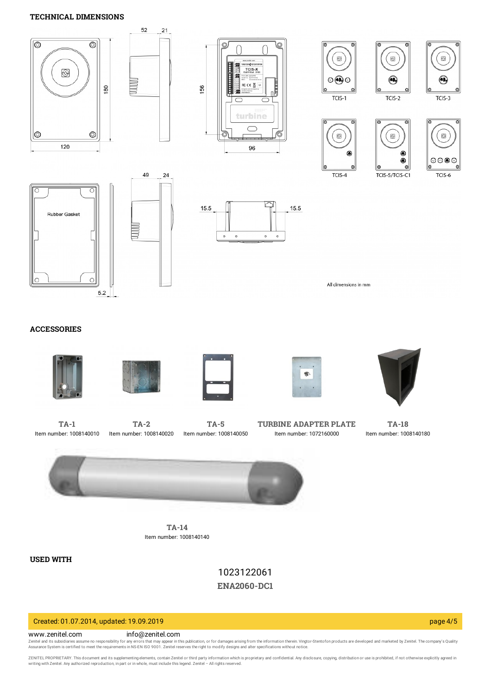# **TECHNICAL DIMENSIONS**



# **ACCESSORIES**











**[TA-1](https://www.zenitel.com/product/ta-1)** Item number: 1008140010



**[TA-5](https://www.zenitel.com/product/ta-5)** Item number: 1008140050

**TURBINE [ADAPTER](https://www.zenitel.com/product/turbine-adapter-plate) PLATE** Item number: 1072160000

**[TA-18](https://www.zenitel.com/product/ta-18)** Item number: 1008140180



**[TA-14](https://www.zenitel.com/product/ta-14)** Item number: 1008140140

**USED WITH**

1023122061 **[ENA2060-DC1](https://www.zenitel.com/product/ena2060-dc1)**

# Created: 01.07.2014, updated: 19.09.2019 page 4/5

#### www.zenitel.com info@zenitel.com

Zenitel and its subsidiaries assume no responsibility for any errors that may appear in this publication, or for damages arising from the information therein. Vingtor-Stentofon products are developed and marketed by Zenite